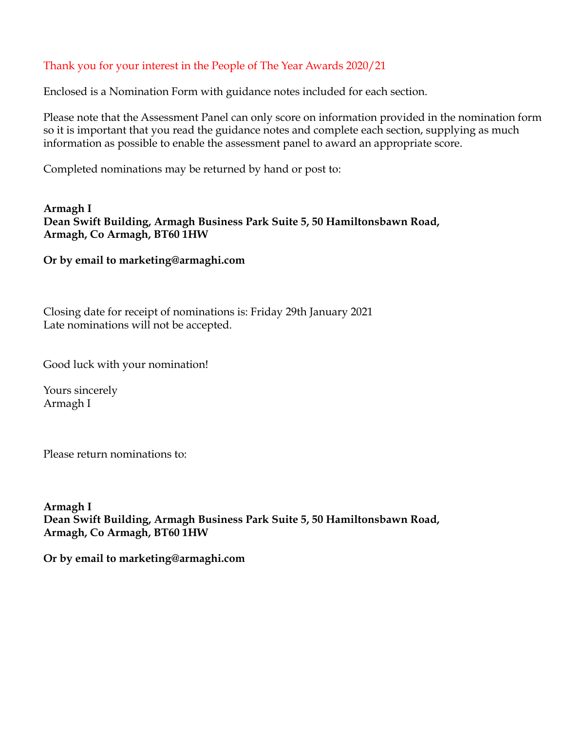### Thank you for your interest in the People of The Year Awards 2020/21

Enclosed is a Nomination Form with guidance notes included for each section.

Please note that the Assessment Panel can only score on information provided in the nomination form so it is important that you read the guidance notes and complete each section, supplying as much information as possible to enable the assessment panel to award an appropriate score.

Completed nominations may be returned by hand or post to:

**Armagh I Dean Swift Building, Armagh Business Park Suite 5, 50 Hamiltonsbawn Road, Armagh, Co Armagh, BT60 1HW** 

### **Or by email to marketing@armaghi.com**

Closing date for receipt of nominations is: Friday 29th January 2021 Late nominations will not be accepted.

Good luck with your nomination!

Yours sincerely Armagh I

Please return nominations to:

**Armagh I Dean Swift Building, Armagh Business Park Suite 5, 50 Hamiltonsbawn Road, Armagh, Co Armagh, BT60 1HW** 

**Or by email to marketing@armaghi.com**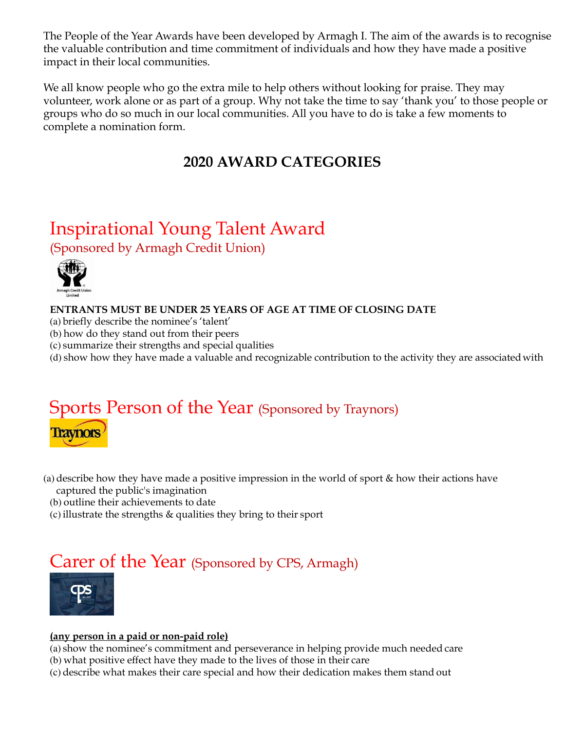The People of the Year Awards have been developed by Armagh I. The aim of the awards is to recognise the valuable contribution and time commitment of individuals and how they have made a positive impact in their local communities.

We all know people who go the extra mile to help others without looking for praise. They may volunteer, work alone or as part of a group. Why not take the time to say 'thank you' to those people or groups who do so much in our local communities. All you have to do is take a few moments to complete a nomination form.

### **2020 AWARD CATEGORIES**

### Inspirational Young Talent Award (Sponsored by Armagh Credit Union)



**ENTRANTS MUST BE UNDER 25 YEARS OF AGE AT TIME OF CLOSING DATE** 

- (a) briefly describe the nominee's 'talent'
- (b) how do they stand out from their peers
- (c) summarize their strengths and special qualities
- (d) show how they have made a valuable and recognizable contribution to the activity they are associatedwith

# Sports Person of the Year (Sponsored by Traynors) **Traynors**

- (a) describe how they have made a positive impression in the world of sport & how their actions have captured the public's imagination
	- (b) outline their achievements to date
	- (c)illustrate the strengths & qualities they bring to their sport

## Carer of the Year (Sponsored by CPS, Armagh)



### **(any person in a paid or non-paid role)**

(a) show the nominee's commitment and perseverance in helping provide much needed care

- (b) what positive effect have they made to the lives of those in their care
- (c) describe what makes their care special and how their dedication makes them stand out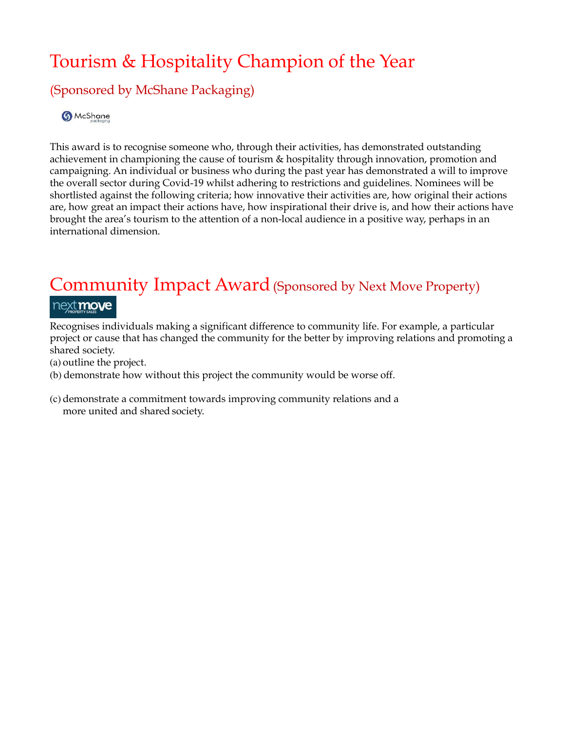# Tourism & Hospitality Champion of the Year

### (Sponsored by McShane Packaging)

**6** McShane

This award is to recognise someone who, through their activities, has demonstrated outstanding achievement in championing the cause of tourism & hospitality through innovation, promotion and campaigning. An individual or business who during the past year has demonstrated a will to improve the overall sector during Covid-19 whilst adhering to restrictions and guidelines. Nominees will be shortlisted against the following criteria; how innovative their activities are, how original their actions are, how great an impact their actions have, how inspirational their drive is, and how their actions have brought the area's tourism to the attention of a non-local audience in a positive way, perhaps in an international dimension.

## Community Impact Award (Sponsored by Next Move Property) next move

Recognises individuals making a significant difference to community life. For example, a particular project or cause that has changed the community for the better by improving relations and promoting a shared society.

(a) outline the project.

- (b) demonstrate how without this project the community would be worse off.
- (c) demonstrate a commitment towards improving community relations and a more united and shared society.